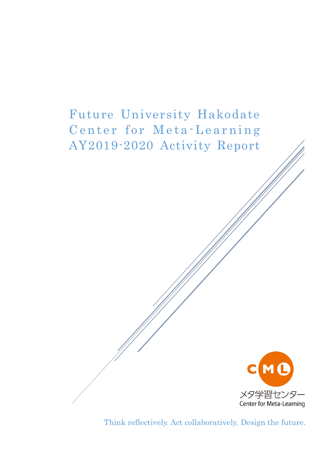



Think reflectively. Act collaboratively. Design the future.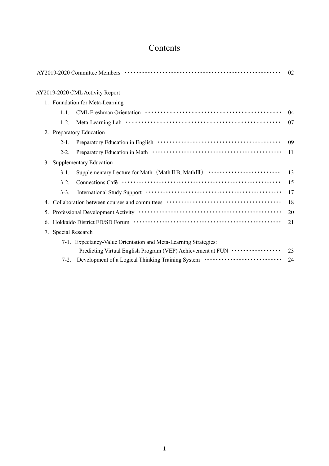# Contents

|    |                     | AY2019-2020 Committee Members ………………………………………………………                                                                                                                                                                            | 02 |
|----|---------------------|--------------------------------------------------------------------------------------------------------------------------------------------------------------------------------------------------------------------------------|----|
|    |                     | AY2019-2020 CML Activity Report                                                                                                                                                                                                |    |
|    |                     | 1. Foundation for Meta-Learning                                                                                                                                                                                                |    |
|    | $1 - 1$ .           |                                                                                                                                                                                                                                | 04 |
|    | $1-2.$              |                                                                                                                                                                                                                                | 07 |
|    |                     | 2. Preparatory Education                                                                                                                                                                                                       |    |
|    | $2-1.$              |                                                                                                                                                                                                                                | 09 |
|    | $2 - 2$ .           |                                                                                                                                                                                                                                | 11 |
|    |                     | 3. Supplementary Education                                                                                                                                                                                                     |    |
|    | $3-1.$              | Supplementary Lecture for Math $(Math \amalg B, Math \amalg) \cdots \cdots \cdots \cdots \cdots \cdots \cdots$                                                                                                                 | 13 |
|    | $3-2.$              |                                                                                                                                                                                                                                | 15 |
|    | $3-3.$              | International Study Support (and the context of the state of the state of the state of the state of the state of the state of the state of the state of the state of the state of the state of the state of the state of the s | 17 |
|    |                     |                                                                                                                                                                                                                                | 18 |
| 5. |                     |                                                                                                                                                                                                                                | 20 |
| 6. |                     |                                                                                                                                                                                                                                | 21 |
|    | 7. Special Research |                                                                                                                                                                                                                                |    |
|    |                     | 7-1. Expectancy-Value Orientation and Meta-Learning Strategies:                                                                                                                                                                |    |
|    |                     | Predicting Virtual English Program (VEP) Achievement at FUN ·················                                                                                                                                                  | 23 |
|    | $7-2.$              | Development of a Logical Thinking Training System ·····························                                                                                                                                                | 24 |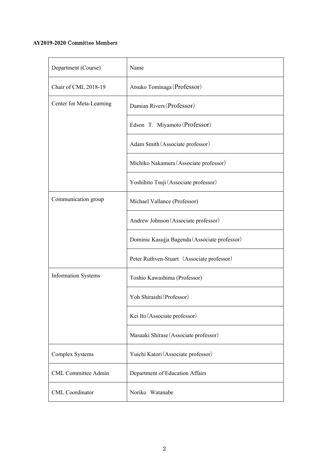# **AY2019-2020** Committee Members

| Department (Course)        | Name                                          |  |  |
|----------------------------|-----------------------------------------------|--|--|
| Chair of CML 2018-19       | Atsuko Tominaga (Professor)                   |  |  |
| Center for Meta-Learning   | Damian Rivers (Professor)                     |  |  |
|                            | Edson T. Miyamoto (Professor)                 |  |  |
|                            | Adam Smith (Associate professor)              |  |  |
|                            | Michiko Nakamura (Associate professor)        |  |  |
|                            | Yoshihito Tsuji (Associate professor)         |  |  |
| Communication group        | Michael Vallance (Professor)                  |  |  |
|                            | Andrew Johnson (Associate professor)          |  |  |
|                            | Dominic Kasujja Bagenda (Associate professor) |  |  |
|                            | Peter Ruthven-Stuart (Associate professor)    |  |  |
| <b>Information Systems</b> | Toshio Kawashima (Professor)                  |  |  |
|                            | Yoh Shiraishi (Professor)                     |  |  |
|                            | Kei Ito (Associate professor)                 |  |  |
|                            | Masaaki Shirase (Associate professor)         |  |  |
| <b>Complex Systems</b>     | Yuichi Katori (Associate professor)           |  |  |
| <b>CML Committee Admin</b> | Department of Education Affairs               |  |  |
| <b>CML</b> Coordinator     | Noriko Watanabe                               |  |  |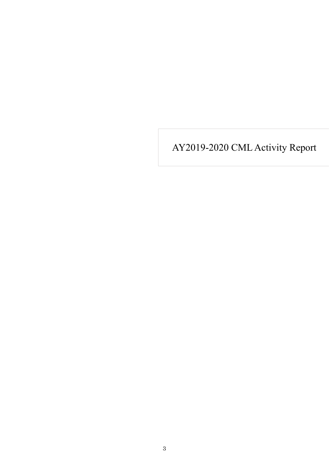AY2019-2020 CML Activity Report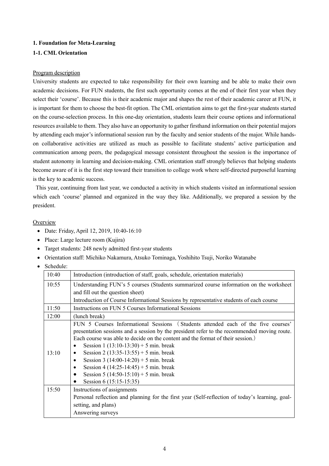### **1. Foundation for Meta-Learning**

# **1-1. CML Orientation**

### Program description

University students are expected to take responsibility for their own learning and be able to make their own academic decisions. For FUN students, the first such opportunity comes at the end of their first year when they select their 'course'. Because this is their academic major and shapes the rest of their academic career at FUN, it is important for them to choose the best-fit option. The CML orientation aims to get the first-year students started on the course-selection process. In this one-day orientation, students learn their course options and informational resources available to them. They also have an opportunity to gather firsthand information on their potential majors by attending each major's informational session run by the faculty and senior students of the major. While handson collaborative activities are utilized as much as possible to facilitate students' active participation and communication among peers, the pedagogical message consistent throughout the session is the importance of student autonomy in learning and decision-making. CML orientation staff strongly believes that helping students become aware of it is the first step toward their transition to college work where self-directed purposeful learning is the key to academic success.

This year, continuing from last year, we conducted a activity in which students visited an informational session which each 'course' planned and organized in the way they like. Additionally, we prepared a session by the president.

# **Overview**

- Date: Friday, April 12, 2019, 10:40-16:10
- Place: Large lecture room (Kujira)
- Target students: 248 newly admitted first-year students
- Orientation staff: Michiko Nakamura, Atsuko Tominaga, Yoshihito Tsuji, Noriko Watanabe
- Schedule:

| 10:40 | Introduction (introduction of staff, goals, schedule, orientation materials)                                                                                                                                                                                                                                                                                                                                                                                                                                                                    |  |  |  |  |  |
|-------|-------------------------------------------------------------------------------------------------------------------------------------------------------------------------------------------------------------------------------------------------------------------------------------------------------------------------------------------------------------------------------------------------------------------------------------------------------------------------------------------------------------------------------------------------|--|--|--|--|--|
| 10:55 | Understanding FUN's 5 courses (Students summarized course information on the worksheet                                                                                                                                                                                                                                                                                                                                                                                                                                                          |  |  |  |  |  |
|       | and fill out the question sheet)                                                                                                                                                                                                                                                                                                                                                                                                                                                                                                                |  |  |  |  |  |
|       | Introduction of Course Informational Sessions by representative students of each course                                                                                                                                                                                                                                                                                                                                                                                                                                                         |  |  |  |  |  |
| 11:50 | Instructions on FUN 5 Courses Informational Sessions                                                                                                                                                                                                                                                                                                                                                                                                                                                                                            |  |  |  |  |  |
| 12:00 | (lunch break)                                                                                                                                                                                                                                                                                                                                                                                                                                                                                                                                   |  |  |  |  |  |
| 13:10 | FUN 5 Courses Informational Sessions (Students attended each of the five courses'<br>presentation sessions and a session by the president refer to the recommended moving route.<br>Each course was able to decide on the content and the format of their session.)<br>Session 1 $(13:10-13:30) + 5$ min. break<br>٠<br>Session 2 (13:35-13:55) + 5 min. break<br>٠<br>Session 3 $(14:00-14:20) + 5$ min. break<br>$\bullet$<br>Session 4 $(14:25-14:45) + 5$ min. break<br>Session 5 $(14:50-15:10) + 5$ min. break<br>Session 6 (15:15-15:35) |  |  |  |  |  |
| 15:50 | Instructions of assignments<br>Personal reflection and planning for the first year (Self-reflection of today's learning, goal-<br>setting, and plans)<br>Answering surveys                                                                                                                                                                                                                                                                                                                                                                      |  |  |  |  |  |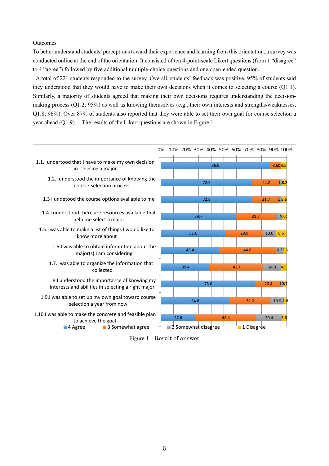#### **Outcomes**

To better understand students' perceptions toward their experience and learning from this orientation, a survey was conducted online at the end of the orientation. It consisted of ten 4-point-scale Likert questions (from 1 "disagree" to 4 "agree") followed by five additional multiple-choice questions and one open-ended question.

A total of 221 students responded to the survey. Overall, students' feedback was positive. 95% of students said they understood that they would have to make their own decisions when it comes to selecting a course (Q1.1). Similarly, a majority of students agreed that making their own decisions requires understanding the decisionmaking process (Q1.2; 95%) as well as knowing themselves (e.g., their own interests and strengths/weaknesses, Q1.8; 96%). Over 87% of students also reported that they were able to set their own goal for course selection a year ahead (Q1.9). The results of the Likert questions are shown in Figure 1.



Figure 1 Result of answer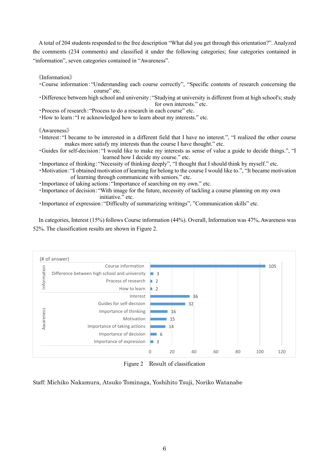A total of 204 students responded to the free description "What did you get through this orientation?". Analyzed the comments (234 comments) and classified it under the following categories; four categories contained in "information", seven categories contained in "Awareness".

《Information》

- ・Course information:"Understanding each course correctly", "Specific contents of research concerning the course" etc.
- ・Difference between high school and university:"Studying at university is different from at high school's; study for own interests." etc.
- ・Process of research:"Process to do a research in each course" etc.
- ・How to learn:"I re acknowledged how to learn about my interests." etc.

《Awareness》

- ・Interest:"I became to be interested in a different field that I have no interest.", "I realized the other course makes more satisfy my interests than the course I have thought." etc.
- ・Guides for self-decision:"I would like to make my interests as sense of value a guide to decide things.", "I learned how I decide my course." etc.
- ・Importance of thinking:"Necessity of thinking deeply", "I thought that I should think by myself." etc.
- ・Motivation:"I obtained motivation of learning for belong to the course I would like to.", "It became motivation of learning through communicate with seniors." etc.
- ・Importance of taking actions:"Importance of searching on my own." etc.
- ・Importance of decision:"With image for the future, necessity of tackling a course planning on my own initiative." etc.
- ・Importance of expression:"Difficulty of summarizing writings", "Communication skills" etc.

In categories, Interest (15%) follows Course information (44%). Overall, Information was 47%, Awareness was 52%. The classification results are shown in Figure 2.



Figure 2 Result of classification

Staff: Michiko Nakamura, Atsuko Tominaga, Yoshihito Tsuji, Noriko Watanabe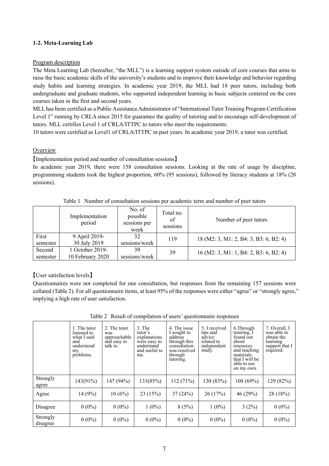# **1-2. Meta-Learning Lab**

### **Program description**

The Meta Learning Lab (hereafter, "the MLL") is a learning support system outside of core courses that aims to raise the basic academic skills of the university's students and to improve their knowledge and behavior regarding study habits and learning strategies. In academic year 2019, the MLL had 18 peer tutors, including both undergraduate and graduate students, who supported independent learning in basic subjects centered on the core courses taken in the first and second years.

MLL has been certified as a Public Assistance Administrator of "International Tutor Training Program Certification Level 1" running by CRLA since 2015 for guarantee the quality of tutoring and to encourage self-development of tutors. MLL certifies Level 1 of CRLA/ITTPC to tutors who meet the requirements.

10 tutors were certified as Level1 of CRLA/ITTPC in past years. In academic year 2019, a tutor was certified.

# **Overview**

【Implementation period and number of consultation sessions】

In academic year 2019, there were 158 consultation sessions. Looking at the rate of usage by discipline, programming students took the highest proportion, 60% (95 sessions), followed by literacy students at 18% (28 sessions).

|          | Implementation<br>period | No. of<br>possible<br>sessions per<br>week | Total no.<br>of<br>sessions | Number of peer tutors                    |
|----------|--------------------------|--------------------------------------------|-----------------------------|------------------------------------------|
| First    | 9 April 2019-            | 32                                         | 119                         | 18 (M2: 3, M1: 2, B4: 3, B3: 6, B2: 4)   |
| semester | 30 July 2019             | sessions/week                              |                             |                                          |
| Second   | 1 October 2019-          | 39                                         | 39                          | $16$ (M2: 3, M1: 1, B4: 2, B3: 6, B2: 4) |
| semester | 10 February 2020         | sessions/week                              |                             |                                          |

Table 1 Number of consultation sessions per academic term and number of peer tutors

# 【User satisfaction levels】

Questionnaires were not completed for one consultation, but responses from the remaining 157 sessions were collated (Table 2). For all questionnaire items, at least 95% of the responses were either "agree" or "strongly agree," implying a high rate of user satisfaction.

|                      | 1. The tutor<br>listened to<br>what I said<br>and<br>understood<br>my<br>problems. | 2. The tutor<br>was<br>approachable<br>and easy to<br>talk to. | $3.$ The<br>tutor's<br>explanations<br>were easy to<br>understand<br>and useful to<br>me. | 4. The issue<br>I sought to<br>address<br>through this<br>consultation<br>was resolved<br>through<br>tutoring. | 5. I received<br>tips and<br>advice<br>related to<br>independent<br>study. | 6. Through<br>tutoring, I<br>found out<br>about<br>resources<br>and teaching<br>materials<br>that I will be<br>able to use<br>on my own. | 7. Overall, I<br>was able to<br>obtain the<br>learning<br>support that I<br>required. |
|----------------------|------------------------------------------------------------------------------------|----------------------------------------------------------------|-------------------------------------------------------------------------------------------|----------------------------------------------------------------------------------------------------------------|----------------------------------------------------------------------------|------------------------------------------------------------------------------------------------------------------------------------------|---------------------------------------------------------------------------------------|
| Strongly<br>agree    | 143(91%)                                                                           | 147 (94%)                                                      | 133(85%)                                                                                  | 112(71%)                                                                                                       | 130 (83%)                                                                  | 108 (69%)                                                                                                                                | 129 (82%)                                                                             |
| Agree                | 14(9%)                                                                             | 10(6%)                                                         | 23 (15%)                                                                                  | 37(24%)                                                                                                        | 26(17%)                                                                    | 46 (29%)                                                                                                                                 | 28 (18%)                                                                              |
| Disagree             | $0(0\%)$                                                                           | $0(0\%)$                                                       | $1(0\%)$                                                                                  | 8(5%)                                                                                                          | $1(0\%)$                                                                   | 3(2%)                                                                                                                                    | $0(0\%)$                                                                              |
| Strongly<br>disagree | $0(0\%)$                                                                           | $0(0\%)$                                                       | $0(0\%)$                                                                                  | $0(0\%)$                                                                                                       | $0(0\%)$                                                                   | $0(0\%)$                                                                                                                                 | $0(0\%)$                                                                              |

Table 2 Result of compilation of users' questionnaire responses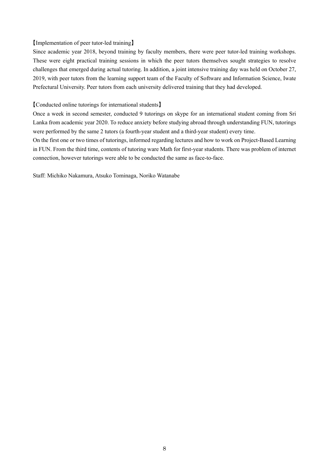### 【Implementation of peer tutor-led training】

Since academic year 2018, beyond training by faculty members, there were peer tutor-led training workshops. These were eight practical training sessions in which the peer tutors themselves sought strategies to resolve challenges that emerged during actual tutoring. In addition, a joint intensive training day was held on October 27, 2019, with peer tutors from the learning support team of the Faculty of Software and Information Science, Iwate Prefectural University. Peer tutors from each university delivered training that they had developed.

### 【Conducted online tutorings for international students】

Once a week in second semester, conducted 9 tutorings on skype for an international student coming from Sri Lanka from academic year 2020. To reduce anxiety before studying abroad through understanding FUN, tutorings were performed by the same 2 tutors (a fourth-year student and a third-year student) every time.

On the first one or two times of tutorings, informed regarding lectures and how to work on Project-Based Learning in FUN. From the third time, contents of tutoring ware Math for first-year students. There was problem of internet connection, however tutorings were able to be conducted the same as face-to-face.

Staff: Michiko Nakamura, Atsuko Tominaga, Noriko Watanabe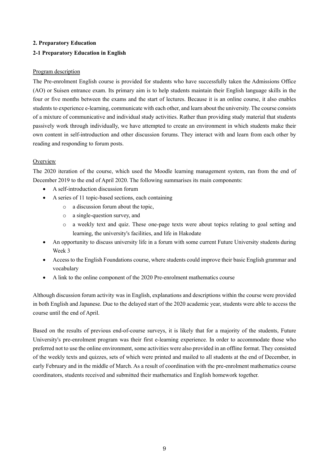# **2. Preparatory Education**

# **2-1 Preparatory Education in English**

# Program description

The Pre-enrolment English course is provided for students who have successfully taken the Admissions Office (AO) or Suisen entrance exam. Its primary aim is to help students maintain their English language skills in the four or five months between the exams and the start of lectures. Because it is an online course, it also enables students to experience e-learning, communicate with each other, and learn about the university. The course consists of a mixture of communicative and individual study activities. Rather than providing study material that students passively work through individually, we have attempted to create an environment in which students make their own content in self-introduction and other discussion forums. They interact with and learn from each other by reading and responding to forum posts.

# **Overview**

The 2020 iteration of the course, which used the Moodle learning management system, ran from the end of December 2019 to the end of April 2020. The following summarises its main components:

- A self-introduction discussion forum
- A series of 11 topic-based sections, each containing
	- o a discussion forum about the topic,
	- o a single-question survey, and
	- o a weekly text and quiz. These one-page texts were about topics relating to goal setting and learning, the university's facilities, and life in Hakodate
- An opportunity to discuss university life in a forum with some current Future University students during Week 3
- Access to the English Foundations course, where students could improve their basic English grammar and vocabulary
- A link to the online component of the 2020 Pre-enrolment mathematics course

Although discussion forum activity was in English, explanations and descriptions within the course were provided in both English and Japanese. Due to the delayed start of the 2020 academic year, students were able to access the course until the end of April.

Based on the results of previous end-of-course surveys, it is likely that for a majority of the students, Future University's pre-enrolment program was their first e-learning experience. In order to accommodate those who preferred not to use the online environment, some activities were also provided in an offline format. They consisted of the weekly texts and quizzes, sets of which were printed and mailed to all students at the end of December, in early February and in the middle of March. As a result of coordination with the pre-enrolment mathematics course coordinators, students received and submitted their mathematics and English homework together.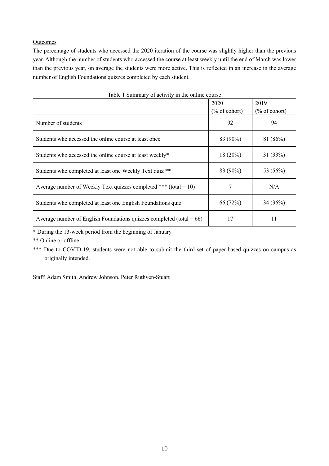# **Outcomes**

The percentage of students who accessed the 2020 iteration of the course was slightly higher than the previous year. Although the number of students who accessed the course at least weekly until the end of March was lower than the previous year, on average the students were more active. This is reflected in an increase in the average number of English Foundations quizzes completed by each student.

| Table 1 Summary of activity in the online course                        |                          |                          |  |  |
|-------------------------------------------------------------------------|--------------------------|--------------------------|--|--|
|                                                                         | 2020                     | 2019                     |  |  |
|                                                                         | $(\% \text{ of cohort})$ | $(\% \text{ of cohort})$ |  |  |
| Number of students                                                      | 92                       | 94                       |  |  |
| Students who accessed the online course at least once                   | 83 (90%)                 | 81 (86%)                 |  |  |
| Students who accessed the online course at least weekly*                | $18(20\%)$               | 31(33%)                  |  |  |
| Students who completed at least one Weekly Text quiz **                 | 83 (90%)                 | 53 (56%)                 |  |  |
| Average number of Weekly Text quizzes completed *** (total = 10)        |                          | N/A                      |  |  |
| Students who completed at least one English Foundations quiz            | 66 (72%)                 | 34(36%)                  |  |  |
| Average number of English Foundations quizzes completed (total = $66$ ) | 17                       | 11                       |  |  |

\* During the 13-week period from the beginning of January

\*\* Online or offline

Staff: Adam Smith, Andrew Johnson, Peter Ruthven-Stuart

<sup>\*\*\*</sup> Due to COVID-19, students were not able to submit the third set of paper-based quizzes on campus as originally intended.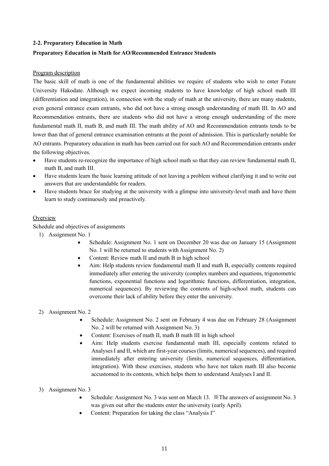# **2-2. Preparatory Education in Math**

# **Preparatory Education in Math for AO/Recommended Entrance Students**

### Program description

The basic skill of math is one of the fundamental abilities we require of students who wish to enter Future University Hakodate. Although we expect incoming students to have knowledge of high school math III (differentiation and integration), in connection with the study of math at the university, there are many students, even general entrance exam entrants, who did not have a strong enough understanding of math III. In AO and Recommendation entrants, there are students who did not have a strong enough understanding of the more fundamental math II, math B, and math III. The math ability of AO and Recommendation entrants tends to be lower than that of general entrance examination entrants at the point of admission. This is particularly notable for AO entrants. Preparatory education in math has been carried out for such AO and Recommendation entrants under the following objectives.

- Have students re-recognize the importance of high school math so that they can review fundamental math II, math B, and math III.
- Have students learn the basic learning attitude of not leaving a problem without clarifying it and to write out answers that are understandable for readers.
- Have students brace for studying at the university with a glimpse into university-level math and have them learn to study continuously and proactively.

# **Overview**

Schedule and objectives of assignments

- 1) Assignment No. 1
	- Schedule: Assignment No. 1 sent on December 20 was due on January 15 (Assignment No. 1 will be returned to students with Assignment No. 2)
	- Content: Review math II and math B in high school
	- Aim: Help students review fundamental math II and math B, especially contents required immediately after entering the university (complex numbers and equations, trigonometric functions, exponential functions and logarithmic functions, differentiation, integration, numerical sequences). By reviewing the contents of high-school math, students can overcome their lack of ability before they enter the university.
- 2) Assignment No. 2
	- Schedule: Assignment No. 2 sent on February 4 was due on February 28 (Assignment No. 2 will be returned with Assignment No. 3)
	- Content: Exercises of math II, math B math III in high school
	- Aim: Help students exercise fundamental math III, especially contents related to Analyses I and II, which are first-year courses (limits, numerical sequences), and required immediately after entering university (limits, numerical sequences, differentiation, integration). With these exercises, students who have not taken math III also become accustomed to its contents, which helps them to understand Analyses I and II.
- 3) Assignment No. 3
	- Schedule: Assignment No. 3 was sent on March 13. ※The answers of assignment No. 3 was given out after the students enter the university (early April).
	- Content: Preparation for taking the class "Analysis I"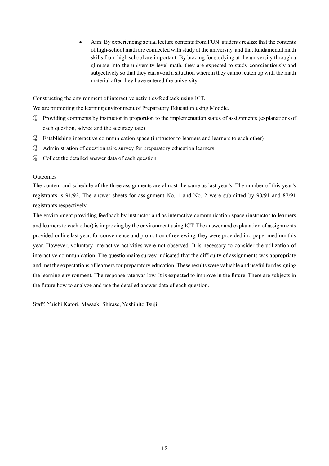• Aim: By experiencing actual lecture contents from FUN, students realize that the contents of high-school math are connected with study at the university, and that fundamental math skills from high school are important. By bracing for studying at the university through a glimpse into the university-level math, they are expected to study conscientiously and subjectively so that they can avoid a situation wherein they cannot catch up with the math material after they have entered the university.

Constructing the environment of interactive activities/feedback using ICT.

We are promoting the learning environment of Preparatory Education using Moodle.

- ① Providing comments by instructor in proportion to the implementation status of assignments (explanations of each question, advice and the accuracy rate)
- ② Establishing interactive communication space (instructor to learners and learners to each other)
- ③ Administration of questionnaire survey for preparatory education learners
- ④ Collect the detailed answer data of each question

### **Outcomes**

The content and schedule of the three assignments are almost the same as last year's. The number of this year's registrants is 91/92. The answer sheets for assignment No. 1 and No. 2 were submitted by 90/91 and 87/91 registrants respectively.

The environment providing feedback by instructor and as interactive communication space (instructor to learners and learners to each other) is improving by the environment using ICT. The answer and explanation of assignments provided online last year, for convenience and promotion of reviewing, they were provided in a paper medium this year. However, voluntary interactive activities were not observed. It is necessary to consider the utilization of interactive communication. The questionnaire survey indicated that the difficulty of assignments was appropriate and met the expectations of learners for preparatory education. These results were valuable and useful for designing the learning environment. The response rate was low. It is expected to improve in the future. There are subjects in the future how to analyze and use the detailed answer data of each question.

Staff: Yuichi Katori, Masaaki Shirase, Yoshihito Tsuji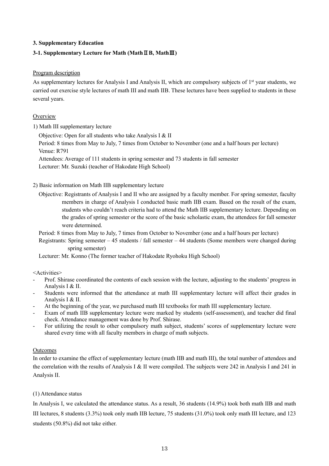# **3. Supplementary Education**

# **3-1. Supplementary Lecture for Math (Math**Ⅱ**B, Math**Ⅲ**)**

### Program description

As supplementary lectures for Analysis I and Analysis II, which are compulsory subjects of  $1<sup>st</sup>$  year students, we carried out exercise style lectures of math III and math IIB. These lectures have been supplied to students in these several years.

### **Overview**

1) Math III supplementary lecture

Objective: Open for all students who take Analysis I & II

Period: 8 times from May to July, 7 times from October to November (one and a half hours per lecture) Venue: R791

Attendees: Average of 111 students in spring semester and 73 students in fall semester

Lecturer: Mr. Suzuki (teacher of Hakodate High School)

# 2) Basic information on Math IIB supplementary lecture

Objective: Registrants of Analysis I and II who are assigned by a faculty member. For spring semester, faculty members in charge of Analysis I conducted basic math IIB exam. Based on the result of the exam, students who couldn't reach criteria had to attend the Math IIB supplementary lecture. Depending on the grades of spring semester or the score of the basic scholastic exam, the attendees for fall semester were determined.

Period: 8 times from May to July, 7 times from October to November (one and a half hours per lecture)

Registrants: Spring semester – 45 students / fall semester – 44 students (Some members were changed during spring semester)

Lecturer: Mr. Konno (The former teacher of Hakodate Ryohoku High School)

<Activities>

- Prof. Shirase coordinated the contents of each session with the lecture, adjusting to the students' progress in Analysis I & II.
- Students were informed that the attendance at math III supplementary lecture will affect their grades in Analysis I & II.
- At the beginning of the year, we purchased math III textbooks for math III supplementary lecture.
- Exam of math IIB supplementary lecture were marked by students (self-assessment), and teacher did final check. Attendance management was done by Prof. Shirase.
- For utilizing the result to other compulsory math subject, students' scores of supplementary lecture were shared every time with all faculty members in charge of math subjects.

# Outcomes

In order to examine the effect of supplementary lecture (math IIB and math III), the total number of attendees and the correlation with the results of Analysis I & II were compiled. The subjects were 242 in Analysis I and 241 in Analysis II.

# (1) Attendance status

In Analysis I, we calculated the attendance status. As a result, 36 students (14.9%) took both math IIB and math III lectures, 8 students (3.3%) took only math IIB lecture, 75 students (31.0%) took only math III lecture, and 123 students (50.8%) did not take either.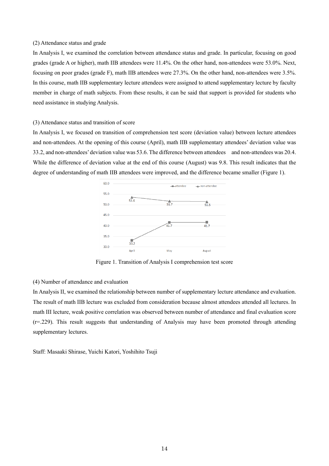#### (2) Attendance status and grade

In Analysis I, we examined the correlation between attendance status and grade. In particular, focusing on good grades (grade A or higher), math IIB attendees were 11.4%. On the other hand, non-attendees were 53.0%. Next, focusing on poor grades (grade F), math IIB attendees were 27.3%. On the other hand, non-attendees were 3.5%. In this course, math IIB supplementary lecture attendees were assigned to attend supplementary lecture by faculty member in charge of math subjects. From these results, it can be said that support is provided for students who need assistance in studying Analysis.

#### (3) Attendance status and transition of score

In Analysis I, we focused on transition of comprehension test score (deviation value) between lecture attendees and non-attendees. At the opening of this course (April), math IIB supplementary attendees' deviation value was 33.2, and non-attendees' deviation value was 53.6. The difference between attendees and non-attendees was 20.4. While the difference of deviation value at the end of this course (August) was 9.8. This result indicates that the degree of understanding of math IIB attendees were improved, and the difference became smaller (Figure 1).



Figure 1. Transition of Analysis I comprehension test score

### (4) Number of attendance and evaluation

In Analysis II, we examined the relationship between number of supplementary lecture attendance and evaluation. The result of math IIB lecture was excluded from consideration because almost attendees attended all lectures. In math III lecture, weak positive correlation was observed between number of attendance and final evaluation score  $(r=229)$ . This result suggests that understanding of Analysis may have been promoted through attending supplementary lectures.

Staff: Masaaki Shirase, Yuichi Katori, Yoshihito Tsuji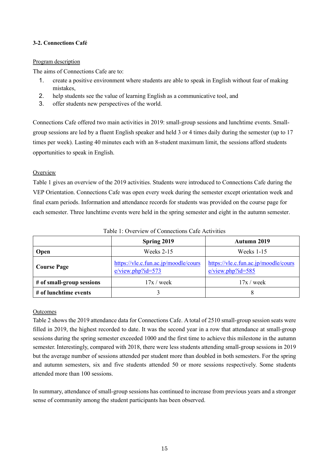# **3-2. Connections Café**

### Program description

The aims of Connections Cafe are to:

- 1. create a positive environment where students are able to speak in English without fear of making mistakes,
- 2. help students see the value of learning English as a communicative tool, and
- 3. offer students new perspectives of the world.

Connections Cafe offered two main activities in 2019: small-group sessions and lunchtime events. Smallgroup sessions are led by a fluent English speaker and held 3 or 4 times daily during the semester (up to 17 times per week). Lasting 40 minutes each with an 8-student maximum limit, the sessions afford students opportunities to speak in English.

# **Overview**

Table 1 gives an overview of the 2019 activities. Students were introduced to Connections Cafe during the VEP Orientation. Connections Cafe was open every week during the semester except orientation week and final exam periods. Information and attendance records for students was provided on the course page for each semester. Three lunchtime events were held in the spring semester and eight in the autumn semester.

|                           | <b>Spring 2019</b>                                           | Autumn 2019                                                 |  |  |
|---------------------------|--------------------------------------------------------------|-------------------------------------------------------------|--|--|
| Open                      | Weeks $2-15$                                                 | Weeks $1-15$                                                |  |  |
| <b>Course Page</b>        | https://vle.c.fun.ac.jp/moodle/cours<br>$e/view.php$ ?id=573 | https://vle.c.fun.ac.jp/moodle/cours<br>$e/view.php?id=585$ |  |  |
| # of small-group sessions | $17x$ / week                                                 | $17x$ / week                                                |  |  |
| # of lunchtime events     |                                                              |                                                             |  |  |

Table 1: Overview of Connections Cafe Activities

# **Outcomes**

Table 2 shows the 2019 attendance data for Connections Cafe. A total of 2510 small-group session seats were filled in 2019, the highest recorded to date. It was the second year in a row that attendance at small-group sessions during the spring semester exceeded 1000 and the first time to achieve this milestone in the autumn semester. Interestingly, compared with 2018, there were less students attending small-group sessions in 2019 but the average number of sessions attended per student more than doubled in both semesters. For the spring and autumn semesters, six and five students attended 50 or more sessions respectively. Some students attended more than 100 sessions.

In summary, attendance of small-group sessions has continued to increase from previous years and a stronger sense of community among the student participants has been observed.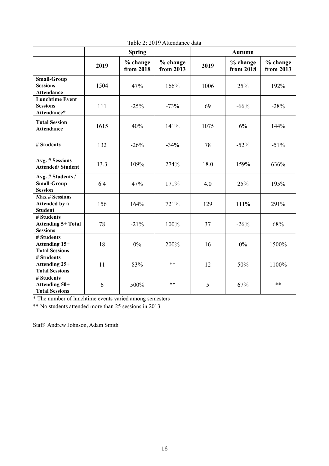|                                                            |      | <b>Spring</b>         |                       | <b>Autumn</b> |                       |                       |  |
|------------------------------------------------------------|------|-----------------------|-----------------------|---------------|-----------------------|-----------------------|--|
|                                                            | 2019 | % change<br>from 2018 | % change<br>from 2013 | 2019          | % change<br>from 2018 | % change<br>from 2013 |  |
| <b>Small-Group</b><br><b>Sessions</b><br><b>Attendance</b> | 1504 | 47%                   | 166%                  | 1006          | 25%                   | 192%                  |  |
| <b>Lunchtime Event</b><br><b>Sessions</b><br>Attendance*   | 111  | $-25%$                | $-73%$                | 69            | $-66%$                | $-28%$                |  |
| <b>Total Session</b><br><b>Attendance</b>                  | 1615 | 40%                   | 141%                  | 1075          | 6%                    | 144%                  |  |
| # Students                                                 | 132  | $-26%$                | $-34%$                | 78            | $-52%$                | $-51%$                |  |
| Avg. # Sessions<br><b>Attended/Student</b>                 | 13.3 | 109%                  | 274%                  | 18.0          | 159%                  | 636%                  |  |
| Avg. # Students /<br><b>Small-Group</b><br><b>Session</b>  | 6.4  | 47%                   | 171%                  | 4.0           | 25%                   | 195%                  |  |
| <b>Max # Sessions</b><br>Attended by a<br><b>Student</b>   | 156  | 164%                  | 721%                  | 129           | 111%                  | 291%                  |  |
| # Students<br><b>Attending 5+ Total</b><br><b>Sessions</b> | 78   | $-21%$                | 100%                  | 37            | $-26%$                | 68%                   |  |
| # Students<br>Attending 15+<br><b>Total Sessions</b>       | 18   | $0\%$                 | 200%                  | 16            | $0\%$                 | 1500%                 |  |
| # Students<br>Attending 25+<br><b>Total Sessions</b>       | 11   | 83%                   | **                    | 12            | 50%                   | 1100%                 |  |
| # Students<br>Attending 50+<br><b>Total Sessions</b>       | 6    | 500%                  | **                    | 5             | 67%                   | $**$                  |  |

Table 2: 2019 Attendance data

\* The number of lunchtime events varied among semesters

\*\* No students attended more than 25 sessions in 2013

Staff: Andrew Johnson, Adam Smith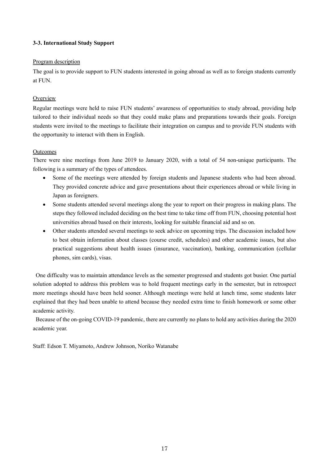# **3-3. International Study Support**

# Program description

The goal is to provide support to FUN students interested in going abroad as well as to foreign students currently at FUN.

# **Overview**

Regular meetings were held to raise FUN students' awareness of opportunities to study abroad, providing help tailored to their individual needs so that they could make plans and preparations towards their goals. Foreign students were invited to the meetings to facilitate their integration on campus and to provide FUN students with the opportunity to interact with them in English.

# **Outcomes**

There were nine meetings from June 2019 to January 2020, with a total of 54 non-unique participants. The following is a summary of the types of attendees.

- Some of the meetings were attended by foreign students and Japanese students who had been abroad. They provided concrete advice and gave presentations about their experiences abroad or while living in Japan as foreigners.
- Some students attended several meetings along the year to report on their progress in making plans. The steps they followed included deciding on the best time to take time off from FUN, choosing potential host universities abroad based on their interests, looking for suitable financial aid and so on.
- Other students attended several meetings to seek advice on upcoming trips. The discussion included how to best obtain information about classes (course credit, schedules) and other academic issues, but also practical suggestions about health issues (insurance, vaccination), banking, communication (cellular phones, sim cards), visas.

One difficulty was to maintain attendance levels as the semester progressed and students got busier. One partial solution adopted to address this problem was to hold frequent meetings early in the semester, but in retrospect more meetings should have been held sooner. Although meetings were held at lunch time, some students later explained that they had been unable to attend because they needed extra time to finish homework or some other academic activity.

Because of the on-going COVID-19 pandemic, there are currently no plans to hold any activities during the 2020 academic year.

Staff: Edson T. Miyamoto, Andrew Johnson, Noriko Watanabe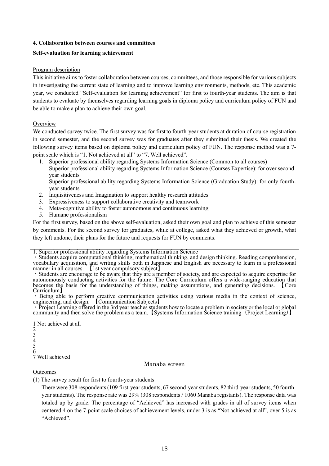# **4. Collaboration between courses and committees**

# **Self-evaluation for learning achievement**

# Program description

This initiative aims to foster collaboration between courses, committees, and those responsible for various subjects in investigating the current state of learning and to improve learning environments, methods, etc. This academic year, we conducted "Self-evaluation for learning achievement" for first to fourth-year students. The aim is that students to evaluate by themselves regarding learning goals in diploma policy and curriculum policy of FUN and be able to make a plan to achieve their own goal.

# **Overview**

We conducted survey twice. The first survey was for first to fourth-year students at duration of course registration in second semester, and the second survey was for graduates after they submitted their thesis. We created the following survey items based on diploma policy and curriculum policy of FUN. The response method was a 7 point scale which is "1. Not achieved at all" to "7. Well achieved".

1. Superior professional ability regarding Systems Information Science (Common to all courses) Superior professional ability regarding Systems Information Science (Courses Expertise): for over secondyear students

Superior professional ability regarding Systems Information Science (Graduation Study): for only fourthyear students

- 2. Inquisitiveness and Imagination to support healthy research attitudes
- 3. Expressiveness to support collaborative creativity and teamwork
- 4. Meta-cognitive ability to foster autonomous and continuous learning
- 5. Humane professionalism

For the first survey, based on the above self-evaluation, asked their own goal and plan to achieve of this semester by comments. For the second survey for graduates, while at college, asked what they achieved or growth, what they left undone, their plans for the future and requests for FUN by comments.

1. Superior professional ability regarding Systems Information Science<br>• Students acquire computational thinking, mathematical thinking, and design thinking. Reading comprehension, vocabulary acquisition, and writing skills both in Japanese and English are necessary to learn in a professional manner in all courses. If ist year compulsory subject]<br>• Students are encourage to be aware that they are a member of society, and are expected to acquire expertise for

autonomously conducting activities for the future. The Core Curriculum offers a wide-ranging education that becomes the basis for the understanding of things, making assumptions, and generating decisions. 【Core

Being able to perform creative communication activities using various media in the context of science, engineering, and design. 【Communication Subjects】<br>• Project Learning offered in the 3rd year teaches students how to locate a problem in society or the local or global

community and then solve the problem as a team. 【Systems Information Science training<sup>(</sup>Project Learning)】

1 Not achieved at all 2 3 4 5 6 7 Well achieved

# Manaba screen

# **Outcomes**

(1) The survey result for first to fourth-year students

There were 308 respondents (109 first-year students, 67 second-year students, 82 third-year students, 50 fourthyear students). The response rate was 29% (308 respondents / 1060 Manaba registants). The response data was totaled up by grade. The percentage of "Achieved" has increased with grades in all of survey items when centered 4 on the 7-point scale choices of achievement levels, under 3 is as "Not achieved at all", over 5 is as "Achieved".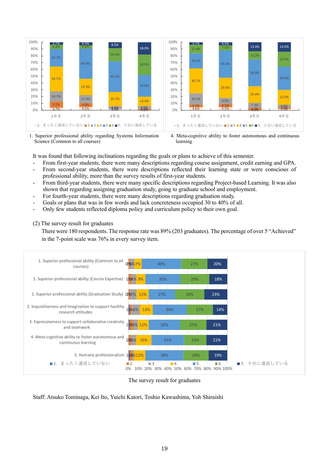

1. Superior professional ability regarding Systems Information Science (Common to all courses)

4. Meta-cognitive ability to foster autonomous and continuous learning

It was found that following inclinations regarding the goals or plans to achieve of this semester.

- From first-year students, there were many descriptions regarding course assignment, credit earning and GPA.
- From second-year students, there were descriptions reflected their learning state or were conscious of professional ability, more than the survey results of first-year students.
- From third-year students, there were many specific descriptions regarding Project-based Learning. It was also shown that regarding assigning graduation study, going to graduate school and employment.
- For fourth-year students, there were many descriptions regarding graduation study.
- Goals or plans that was in few words and lack concreteness occupied 30 to 40% of all.
- Only few students reflected diploma policy and curriculum policy to their own goal.

(2) The survey result for graduates

There were 180 respondents. The response rate was 89% (203 graduates). The percentage of over 5 "Achieved" in the 7-point scale was 76% in every survey item.



The survey result for graduates

Staff: Atsuko Tominaga, Kei Ito, Yuichi Katori, Toshio Kawashima, Yoh Shiraishi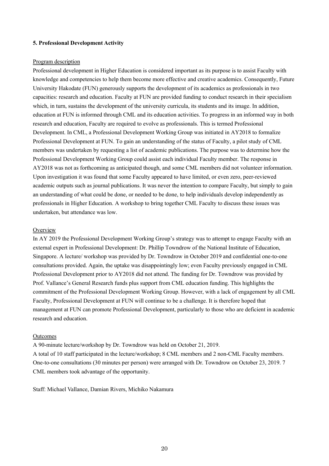### **5. Professional Development Activity**

### Program description

Professional development in Higher Education is considered important as its purpose is to assist Faculty with knowledge and competencies to help them become more effective and creative academics. Consequently, Future University Hakodate (FUN) generously supports the development of its academics as professionals in two capacities: research and education. Faculty at FUN are provided funding to conduct research in their specialism which, in turn, sustains the development of the university curricula, its students and its image. In addition, education at FUN is informed through CML and its education activities. To progress in an informed way in both research and education, Faculty are required to evolve as professionals. This is termed Professional Development. In CML, a Professional Development Working Group was initiated in AY2018 to formalize Professional Development at FUN. To gain an understanding of the status of Faculty, a pilot study of CML members was undertaken by requesting a list of academic publications. The purpose was to determine how the Professional Development Working Group could assist each individual Faculty member. The response in AY2018 was not as forthcoming as anticipated though, and some CML members did not volunteer information. Upon investigation it was found that some Faculty appeared to have limited, or even zero, peer-reviewed academic outputs such as journal publications. It was never the intention to compare Faculty, but simply to gain an understanding of what could be done, or needed to be done, to help individuals develop independently as professionals in Higher Education. A workshop to bring together CML Faculty to discuss these issues was undertaken, but attendance was low.

#### **Overview**

In AY 2019 the Professional Development Working Group's strategy was to attempt to engage Faculty with an external expert in Professional Development: Dr. Phillip Towndrow of the National Institute of Education, Singapore. A lecture/ workshop was provided by Dr. Towndrow in October 2019 and confidential one-to-one consultations provided. Again, the uptake was disappointingly low; even Faculty previously engaged in CML Professional Development prior to AY2018 did not attend. The funding for Dr. Towndrow was provided by Prof. Vallance's General Research funds plus support from CML education funding. This highlights the commitment of the Professional Development Working Group. However, with a lack of engagement by all CML Faculty, Professional Development at FUN will continue to be a challenge. It is therefore hoped that management at FUN can promote Professional Development, particularly to those who are deficient in academic research and education.

#### **Outcomes**

A 90-minute lecture/workshop by Dr. Towndrow was held on October 21, 2019. A total of 10 staff participated in the lecture/workshop; 8 CML members and 2 non-CML Faculty members. One-to-one consultations (30 minutes per person) were arranged with Dr. Towndrow on October 23, 2019. 7 CML members took advantage of the opportunity.

Staff: Michael Vallance, Damian Rivers, Michiko Nakamura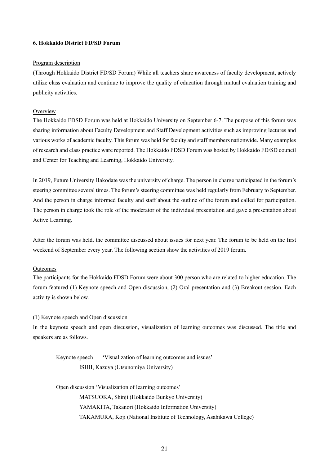### **6. Hokkaido District FD/SD Forum**

#### Program description

(Through Hokkaido District FD/SD Forum) While all teachers share awareness of faculty development, actively utilize class evaluation and continue to improve the quality of education through mutual evaluation training and publicity activities.

### **Overview**

The Hokkaido FDSD Forum was held at Hokkaido University on September 6-7. The purpose of this forum was sharing information about Faculty Development and Staff Development activities such as improving lectures and various works of academic faculty. This forum was held for faculty and staff members nationwide. Many examples of research and class practice ware reported. The Hokkaido FDSD Forum was hosted by Hokkaido FD/SD council and Center for Teaching and Learning, Hokkaido University.

In 2019, Future University Hakodate was the university of charge. The person in charge participated in the forum's steering committee several times. The forum's steering committee was held regularly from February to September. And the person in charge informed faculty and staff about the outline of the forum and called for participation. The person in charge took the role of the moderator of the individual presentation and gave a presentation about Active Learning.

After the forum was held, the committee discussed about issues for next year. The forum to be held on the first weekend of September every year. The following section show the activities of 2019 forum.

### Outcomes

The participants for the Hokkaido FDSD Forum were about 300 person who are related to higher education. The forum featured (1) Keynote speech and Open discussion, (2) Oral presentation and (3) Breakout session. Each activity is shown below.

### (1) Keynote speech and Open discussion

In the keynote speech and open discussion, visualization of learning outcomes was discussed. The title and speakers are as follows.

Keynote speech 'Visualization of learning outcomes and issues' ISHII, Kazuya (Utsunomiya University)

Open discussion 'Visualization of learning outcomes' MATSUOKA, Shinji (Hokkaido Bunkyo University) YAMAKITA, Takanori (Hokkaido Information University) TAKAMURA, Koji (National Institute of Technology, Asahikawa College)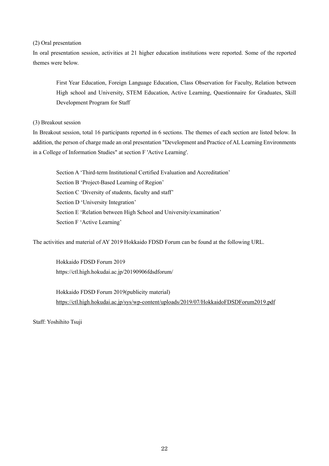(2) Oral presentation

In oral presentation session, activities at 21 higher education institutions were reported. Some of the reported themes were below.

First Year Education, Foreign Language Education, Class Observation for Faculty, Relation between High school and University, STEM Education, Active Learning, Questionnaire for Graduates, Skill Development Program for Staff

(3) Breakout session

In Breakout session, total 16 participants reported in 6 sections. The themes of each section are listed below. In addition, the person of charge made an oral presentation "Development and Practice of AL Learning Environments in a College of Information Studies" at section F 'Active Learning'.

Section A 'Third-term Institutional Certified Evaluation and Accreditation' Section B 'Project-Based Learning of Region' Section C 'Diversity of students, faculty and staff' Section D 'University Integration' Section E 'Relation between High School and University/examination' Section F 'Active Learning'

The activities and material of AY 2019 Hokkaido FDSD Forum can be found at the following URL.

Hokkaido FDSD Forum 2019 https://ctl.high.hokudai.ac.jp/20190906fdsdforum/

Hokkaido FDSD Forum 2019(publicity material) <https://ctl.high.hokudai.ac.jp/sys/wp-content/uploads/2019/07/HokkaidoFDSDForum2019.pdf>

Staff: Yoshihito Tsuji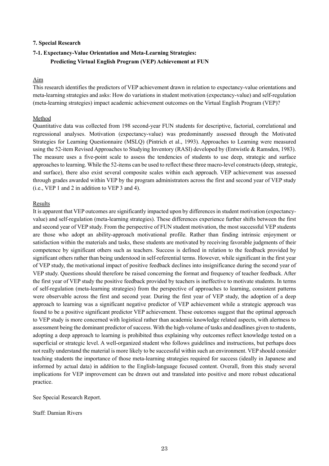### **7. Special Research**

# **7-1. Expectancy-Value Orientation and Meta-Learning Strategies: Predicting Virtual English Program (VEP) Achievement at FUN**

### Aim

This research identifies the predictors of VEP achievement drawn in relation to expectancy-value orientations and meta-learning strategies and asks: How do variations in student motivation (expectancy-value) and self-regulation (meta-learning strategies) impact academic achievement outcomes on the Virtual English Program (VEP)?

### Method

Quantitative data was collected from 198 second-year FUN students for descriptive, factorial, correlational and regressional analyses. Motivation (expectancy-value) was predominantly assessed through the Motivated Strategies for Learning Questionnaire (MSLQ) (Pintrich et al., 1993). Approaches to Learning were measured using the 52-item Revised Approaches to Studying Inventory (RASI) developed by (Entwistle & Ramsden, 1983). The measure uses a five-point scale to assess the tendencies of students to use deep, strategic and surface approaches to learning. While the 52-items can be used to reflect these three macro-level constructs (deep, strategic, and surface), there also exist several composite scales within each approach. VEP achievement was assessed through grades awarded within VEP by the program administrators across the first and second year of VEP study (i.e., VEP 1 and 2 in addition to VEP 3 and 4).

### Results

It is apparent that VEP outcomes are significantly impacted upon by differences in student motivation (expectancyvalue) and self-regulation (meta-learning strategies). These differences experience further shifts between the first and second year of VEP study. From the perspective of FUN student motivation, the most successful VEP students are those who adopt an ability-approach motivational profile. Rather than finding intrinsic enjoyment or satisfaction within the materials and tasks, these students are motivated by receiving favorable judgments of their competence by significant others such as teachers. Success is defined in relation to the feedback provided by significant others rather than being understood in self-referential terms. However, while significant in the first year of VEP study, the motivational impact of positive feedback declines into insignificance during the second year of VEP study. Questions should therefore be raised concerning the format and frequency of teacher feedback. After the first year of VEP study the positive feedback provided by teachers is ineffective to motivate students. In terms of self-regulation (meta-learning strategies) from the perspective of approaches to learning, consistent patterns were observable across the first and second year. During the first year of VEP study, the adoption of a deep approach to learning was a significant negative predictor of VEP achievement while a strategic approach was found to be a positive significant predictor VEP achievement. These outcomes suggest that the optimal approach to VEP study is more concerned with logistical rather than academic knowledge related aspects, with alertness to assessment being the dominant predictor of success. With the high-volume of tasks and deadlines given to students, adopting a deep approach to learning is prohibited thus explaining why outcomes reflect knowledge tested on a superficial or strategic level. A well-organized student who follows guidelines and instructions, but perhaps does not really understand the material is more likely to be successful within such an environment. VEP should consider teaching students the importance of those meta-learning strategies required for success (ideally in Japanese and informed by actual data) in addition to the English-language focused content. Overall, from this study several implications for VEP improvement can be drawn out and translated into positive and more robust educational practice.

See Special Research Report.

Staff: Damian Rivers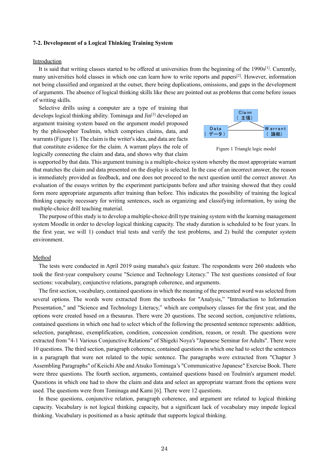#### **7-2. Development of a Logical Thinking Training System**

#### Introduction

It is said that writing classes started to be offered at universities from the beginning of the 1990s<sup>[1]</sup>. Currently, many universities hold classes in which one can learn how to write reports and papers[2]. However, information not being classified and organized at the outset, there being duplications, omissions, and gaps in the development of arguments. The absence of logical thinking skills like these are pointed out as problems that come before issues of writing skills.

Selective drills using a computer are a type of training that develops logical thinking ability. Tominaga and Jin<sup>[3]</sup> developed an argument training system based on the argument model proposed by the philosopher Toulmin, which comprises claims, data, and warrants (Figure 1). The claim is the writer's idea, and data are facts that constitute evidence for the claim. A warrant plays the role of logically connecting the claim and data, and shows why that claim



Figure 1 Triangle logic model

is supported by that data. This argument training is a multiple-choice system whereby the most appropriate warrant that matches the claim and data presented on the display is selected. In the case of an incorrect answer, the reason is immediately provided as feedback, and one does not proceed to the next question until the correct answer. An evaluation of the essays written by the experiment participants before and after training showed that they could form more appropriate arguments after training than before. This indicates the possibility of training the logical thinking capacity necessary for writing sentences, such as organizing and classifying information, by using the multiple-choice drill teaching material.

The purpose of this study is to develop a multiple-choice drill type training system with the learning management system Moodle in order to develop logical thinking capacity. The study duration is scheduled to be four years. In the first year, we will 1) conduct trial tests and verify the test problems, and 2) build the computer system environment.

#### Method

The tests were conducted in April 2019 using manaba's quiz feature. The respondents were 260 students who took the first-year compulsory course "Science and Technology Literacy." The test questions consisted of four sections: vocabulary, conjunctive relations, paragraph coherence, and arguments.

The first section, vocabulary, contained questions in which the meaning of the presented word was selected from several options. The words were extracted from the textbooks for "Analysis," "Introduction to Information Presentation," and "Science and Technology Literacy," which are compulsory classes for the first year, and the options were created based on a thesaurus. There were 20 questions. The second section, conjunctive relations, contained questions in which one had to select which of the following the presented sentence represents: addition, selection, paraphrase, exemplification, condition, concession condition, reason, or result. The questions were extracted from "4-1 Various Conjunctive Relations" of Shigeki Noya's "Japanese Seminar for Adults". There were 10 questions. The third section, paragraph coherence, contained questions in which one had to select the sentences in a paragraph that were not related to the topic sentence. The paragraphs were extracted from "Chapter 3 Assembling Paragraphs" of Keiichi Abe and Atsuko Tominaga's "Communicative Japanese" Exercise Book. There were three questions. The fourth section, arguments, contained questions based on Toulmin's argument model. Questions in which one had to show the claim and data and select an appropriate warrant from the options were used. The questions were from Tominaga and Kami [6]. There were 12 questions.

In these questions, conjunctive relation, paragraph coherence, and argument are related to logical thinking capacity. Vocabulary is not logical thinking capacity, but a significant lack of vocabulary may impede logical thinking. Vocabulary is positioned as a basic aptitude that supports logical thinking.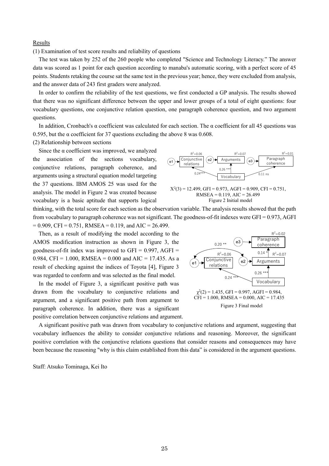### **Results**

(1) Examination of test score results and reliability of questions

The test was taken by 252 of the 260 people who completed "Science and Technology Literacy." The answer data was scored as 1 point for each question according to manaba's automatic scoring, with a perfect score of 45 points. Students retaking the course sat the same test in the previous year; hence, they were excluded from analysis, and the answer data of 243 first graders were analyzed.

In order to confirm the reliability of the test questions, we first conducted a GP analysis. The results showed that there was no significant difference between the upper and lower groups of a total of eight questions: four vocabulary questions, one conjunctive relation question, one paragraph coherence question, and two argument questions.

In addition, Cronbach's  $\alpha$  coefficient was calculated for each section. The  $\alpha$  coefficient for all 45 questions was 0.595, but the  $\alpha$  coefficient for 37 questions excluding the above 8 was 0.608.

(2) Relationship between sections

Since the  $\alpha$  coefficient was improved, we analyzed the association of the sections vocabulary, conjunctive relations, paragraph coherence, and arguments using a structural equation model targeting the 37 questions. IBM AMOS 25 was used for the analysis. The model in Figure 2 was created because vocabulary is a basic aptitude that supports logical





thinking, with the total score for each section as the observation variable. The analysis results showed that the path from vocabulary to paragraph coherence was not significant. The goodness-of-fit indexes were GFI =  $0.973$ , AGFI  $= 0.909$ , CFI = 0.751, RMSEA = 0.119, and AIC = 26.499.

Then, as a result of modifying the model according to the AMOS modification instruction as shown in Figure 3, the goodness-of-fit index was improved to GFI =  $0.997$ , AGFI = 0.984, CFI = 1.000, RMSEA = 0.000 and AIC = 17.435. As a result of checking against the indices of Toyota [4], Figure 3 was regarded to conform and was selected as the final model.

In the model of Figure 3, a significant positive path was drawn from the vocabulary to conjunctive relations and argument, and a significant positive path from argument to paragraph coherence. In addition, there was a significant positive correlation between conjunctive relations and argument.



A significant positive path was drawn from vocabulary to conjunctive relations and argument, suggesting that vocabulary influences the ability to consider conjunctive relations and reasoning. Moreover, the significant positive correlation with the conjunctive relations questions that consider reasons and consequences may have been because the reasoning "why is this claim established from this data" is considered in the argument questions.

Staff: Atsuko Tominaga, Kei Ito